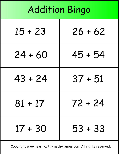| <b>Addition Bingo</b> |           |  |
|-----------------------|-----------|--|
| $15 + 23$             | $26 + 62$ |  |
| $24 + 60$             | $45 + 54$ |  |
| $43 + 24$             | $37 + 51$ |  |
| $81 + 17$             | 72 + 24   |  |
| $17 + 30$             | $53 + 33$ |  |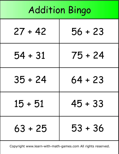| <b>Addition Bingo</b> |           |  |
|-----------------------|-----------|--|
| $27 + 42$             | $56 + 23$ |  |
| $54 + 31$             | $75 + 24$ |  |
| $35 + 24$             | $64 + 23$ |  |
| $15 + 51$             | 45 + 33   |  |
| $63 + 25$             | $53 + 36$ |  |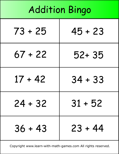## Addition Bingo

| 73 + 25   | $45 + 23$ |
|-----------|-----------|
| $67 + 22$ | 52+35     |
| $17 + 42$ | $34 + 33$ |
| 24 + 32   | 31 + 52   |
| $36 + 43$ | 23 + 44   |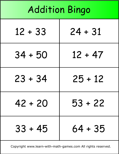| <b>Addition Bingo</b> |           |  |
|-----------------------|-----------|--|
| $12 + 33$             | $24 + 31$ |  |
| $34 + 50$             | $12 + 47$ |  |
| $23 + 34$             | $25 + 12$ |  |
| $42 + 20$             | $53 + 22$ |  |
| $33 + 45$             | $64 + 35$ |  |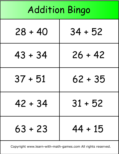| <b>Addition Bingo</b> |           |  |
|-----------------------|-----------|--|
| $28 + 40$             | $34 + 52$ |  |
| $43 + 34$             | $26 + 42$ |  |
| $37 + 51$             | $62 + 35$ |  |
| $42 + 34$             | $31 + 52$ |  |
| $63 + 23$             | $44 + 15$ |  |